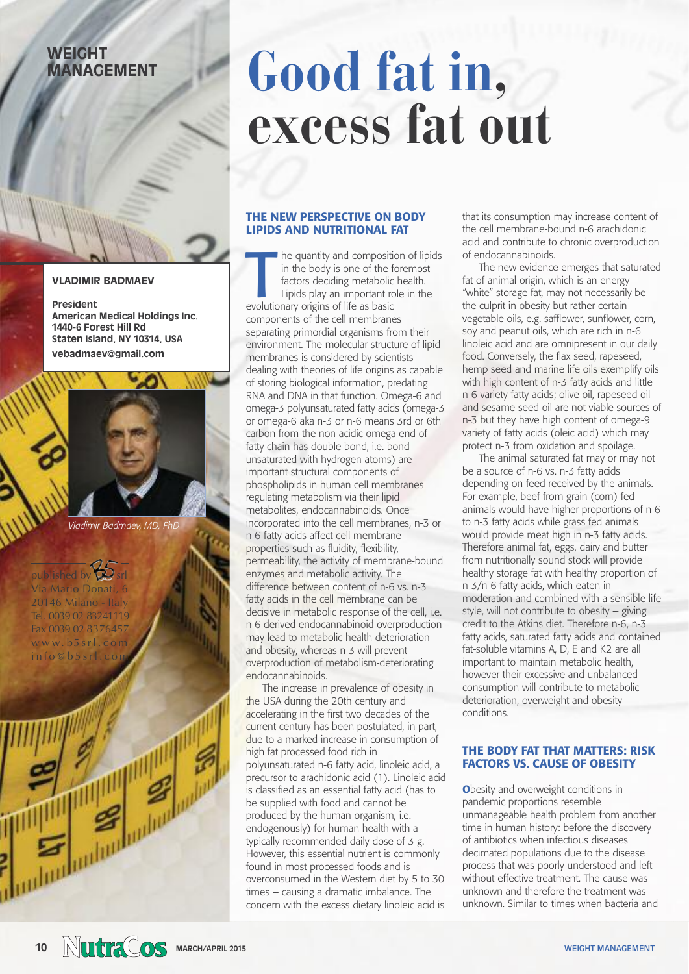# **WEIGHT MANAGEMENT**

# **Good fat in, excess fat out**

## **VLADIMIR BADMAEV**

**President American Medical Holdings Inc. 1440-6 Forest Hill Rd Staten Island, NY 10314, USA vebadmaev@gmail.com**



*Vladimir Badmaev, MD, PhD*

published by  $\mathbf{S}$ Via Mario Donati, 6 20146 Milano - Italy Tel. 0039 02 83241119 Fax 0039 02 8376457 www.b5srl.com  $info@b5srl.com$ 

 $\frac{1}{2}$ 

## THE NEW PERSPECTIVE ON BODY LIPIDS AND NUTRITIONAL FAT

he quantity and composition<br>in the body is one of the 1<br>factors deciding metabolic<br>Lipids play an important revolutionary origins of life as basic he quantity and composition of lipids in the body is one of the foremost factors deciding metabolic health. Lipids play an important role in the components of the cell membranes separating primordial organisms from their environment. The molecular structure of lipid membranes is considered by scientists dealing with theories of life origins as capable of storing biological information, predating RNA and DNA in that function. Omega-6 and omega-3 polyunsaturated fatty acids (omega-3 or omega-6 aka n-3 or n-6 means 3rd or 6th carbon from the non-acidic omega end of fatty chain has double-bond, i.e. bond unsaturated with hydrogen atoms) are important structural components of phospholipids in human cell membranes regulating metabolism via their lipid metabolites, endocannabinoids. Once incorporated into the cell membranes, n-3 or n-6 fatty acids affect cell membrane properties such as fluidity, flexibility, permeability, the activity of membrane-bound enzymes and metabolic activity. The difference between content of n-6 vs. n-3 fatty acids in the cell membrane can be decisive in metabolic response of the cell, i.e. n-6 derived endocannabinoid overproduction may lead to metabolic health deterioration and obesity, whereas n-3 will prevent overproduction of metabolism-deteriorating endocannabinoids.

The increase in prevalence of obesity in the USA during the 20th century and accelerating in the first two decades of the current century has been postulated, in part, due to a marked increase in consumption of high fat processed food rich in polyunsaturated n-6 fatty acid, linoleic acid, a precursor to arachidonic acid (1). Linoleic acid is classified as an essential fatty acid (has to be supplied with food and cannot be produced by the human organism, i.e. endogenously) for human health with a typically recommended daily dose of 3 g. However, this essential nutrient is commonly found in most processed foods and is overconsumed in the Western diet by 5 to 30 times – causing a dramatic imbalance. The concern with the excess dietary linoleic acid is

that its consumption may increase content of the cell membrane-bound n-6 arachidonic acid and contribute to chronic overproduction of endocannabinoids.

The new evidence emerges that saturated fat of animal origin, which is an energy "white" storage fat, may not necessarily be the culprit in obesity but rather certain vegetable oils, e.g. safflower, sunflower, corn, soy and peanut oils, which are rich in n-6 linoleic acid and are omnipresent in our daily food. Conversely, the flax seed, rapeseed, hemp seed and marine life oils exemplify oils with high content of n-3 fatty acids and little n-6 variety fatty acids; olive oil, rapeseed oil and sesame seed oil are not viable sources of n-3 but they have high content of omega-9 variety of fatty acids (oleic acid) which may protect n-3 from oxidation and spoilage.

The animal saturated fat may or may not be a source of n-6 vs. n-3 fatty acids depending on feed received by the animals. For example, beef from grain (corn) fed animals would have higher proportions of n-6 to n-3 fatty acids while grass fed animals would provide meat high in n-3 fatty acids. Therefore animal fat, eggs, dairy and butter from nutritionally sound stock will provide healthy storage fat with healthy proportion of n-3/n-6 fatty acids, which eaten in moderation and combined with a sensible life style, will not contribute to obesity – giving credit to the Atkins diet. Therefore n-6, n-3 fatty acids, saturated fatty acids and contained fat-soluble vitamins A, D, E and K2 are all important to maintain metabolic health, however their excessive and unbalanced consumption will contribute to metabolic deterioration, overweight and obesity conditions.

## THE BODY FAT THAT MATTERS: RISK FACTORS VS. CAUSE OF OBESITY

**O**besity and overweight conditions in pandemic proportions resemble unmanageable health problem from another time in human history: before the discovery of antibiotics when infectious diseases decimated populations due to the disease process that was poorly understood and left without effective treatment. The cause was unknown and therefore the treatment was unknown. Similar to times when bacteria and

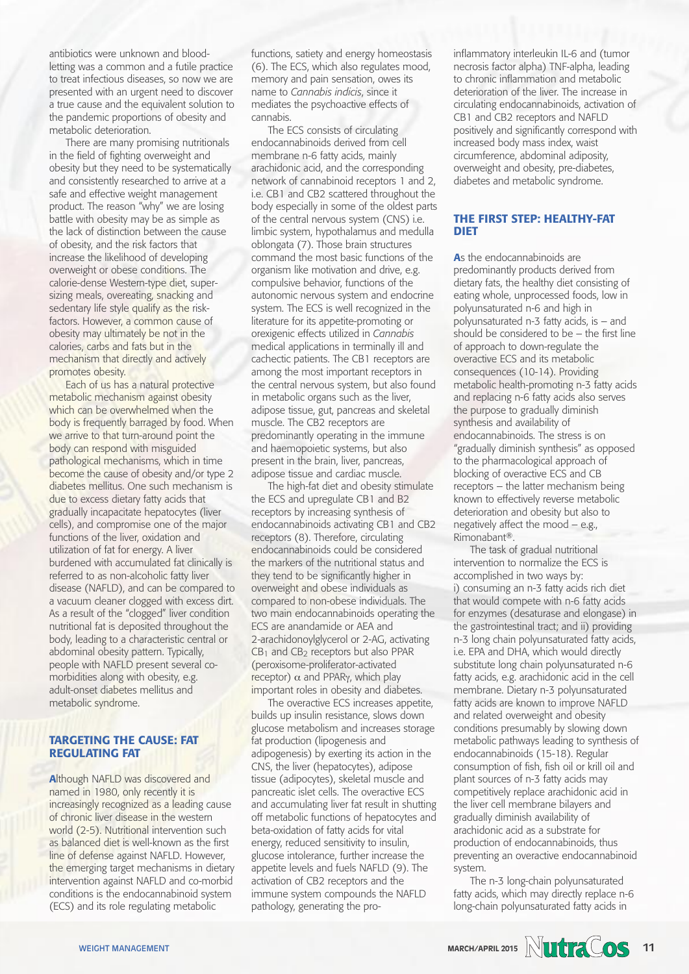antibiotics were unknown and bloodletting was a common and a futile practice to treat infectious diseases, so now we are presented with an urgent need to discover a true cause and the equivalent solution to the pandemic proportions of obesity and metabolic deterioration.

There are many promising nutritionals in the field of fighting overweight and obesity but they need to be systematically and consistently researched to arrive at a safe and effective weight management product. The reason "why" we are losing battle with obesity may be as simple as the lack of distinction between the cause of obesity, and the risk factors that increase the likelihood of developing overweight or obese conditions. The calorie-dense Western-type diet, supersizing meals, overeating, snacking and sedentary life style qualify as the riskfactors. However, a common cause of obesity may ultimately be not in the calories, carbs and fats but in the mechanism that directly and actively promotes obesity.

Each of us has a natural protective metabolic mechanism against obesity which can be overwhelmed when the body is frequently barraged by food. When we arrive to that turn-around point the body can respond with misguided pathological mechanisms, which in time become the cause of obesity and/or type 2 diabetes mellitus. One such mechanism is due to excess dietary fatty acids that gradually incapacitate hepatocytes (liver cells), and compromise one of the major functions of the liver, oxidation and utilization of fat for energy. A liver burdened with accumulated fat clinically is referred to as non-alcoholic fatty liver disease (NAFLD), and can be compared to a vacuum cleaner clogged with excess dirt. As a result of the "clogged" liver condition nutritional fat is deposited throughout the body, leading to a characteristic central or abdominal obesity pattern. Typically, people with NAFLD present several comorbidities along with obesity, e.g. adult-onset diabetes mellitus and metabolic syndrome.

#### TARGETING THE CAUSE: FAT REGULATING FAT

Although NAFLD was discovered and named in 1980, only recently it is increasingly recognized as a leading cause of chronic liver disease in the western world (2-5). Nutritional intervention such as balanced diet is well-known as the first line of defense against NAFLD. However, the emerging target mechanisms in dietary intervention against NAFLD and co-morbid conditions is the endocannabinoid system (ECS) and its role regulating metabolic

functions, satiety and energy homeostasis (6). The ECS, which also regulates mood, memory and pain sensation, owes its name to *Cannabis indicis*, since it mediates the psychoactive effects of cannabis.

The ECS consists of circulating endocannabinoids derived from cell membrane n-6 fatty acids, mainly arachidonic acid, and the corresponding network of cannabinoid receptors 1 and 2, i.e. CB1 and CB2 scattered throughout the body especially in some of the oldest parts of the central nervous system (CNS) i.e. limbic system, hypothalamus and medulla oblongata (7). Those brain structures command the most basic functions of the organism like motivation and drive, e.g. compulsive behavior, functions of the autonomic nervous system and endocrine system. The ECS is well recognized in the literature for its appetite-promoting or orexigenic effects utilized in *Cannabis* medical applications in terminally ill and cachectic patients. The CB1 receptors are among the most important receptors in the central nervous system, but also found in metabolic organs such as the liver, adipose tissue, gut, pancreas and skeletal muscle. The CB2 receptors are predominantly operating in the immune and haemopoietic systems, but also present in the brain, liver, pancreas, adipose tissue and cardiac muscle.

The high-fat diet and obesity stimulate the ECS and upregulate CB1 and B2 receptors by increasing synthesis of endocannabinoids activating CB1 and CB2 receptors (8). Therefore, circulating endocannabinoids could be considered the markers of the nutritional status and they tend to be significantly higher in overweight and obese individuals as compared to non-obese individuals. The two main endocannabinoids operating the ECS are anandamide or AEA and 2-arachidonoylglycerol or 2-AG, activating CB<sub>1</sub> and CB<sub>2</sub> receptors but also PPAR (peroxisome-proliferator-activated receptor)  $\alpha$  and PPAR<sub>Y</sub>, which play important roles in obesity and diabetes.

The overactive ECS increases appetite, builds up insulin resistance, slows down glucose metabolism and increases storage fat production (lipogenesis and adipogenesis) by exerting its action in the CNS, the liver (hepatocytes), adipose tissue (adipocytes), skeletal muscle and pancreatic islet cells. The overactive ECS and accumulating liver fat result in shutting off metabolic functions of hepatocytes and beta-oxidation of fatty acids for vital energy, reduced sensitivity to insulin, glucose intolerance, further increase the appetite levels and fuels NAFLD (9). The activation of CB2 receptors and the immune system compounds the NAFLD pathology, generating the proinflammatory interleukin IL-6 and (tumor necrosis factor alpha) TNF-alpha, leading to chronic inflammation and metabolic deterioration of the liver. The increase in circulating endocannabinoids, activation of CB1 and CB2 receptors and NAFLD positively and significantly correspond with increased body mass index, waist circumference, abdominal adiposity, overweight and obesity, pre-diabetes, diabetes and metabolic syndrome.

#### THE FIRST STEP: HEALTHY-FAT DIET

As the endocannabinoids are predominantly products derived from dietary fats, the healthy diet consisting of eating whole, unprocessed foods, low in polyunsaturated n-6 and high in polyunsaturated n-3 fatty acids, is – and should be considered to be – the first line of approach to down-regulate the overactive ECS and its metabolic consequences (10-14). Providing metabolic health-promoting n-3 fatty acids and replacing n-6 fatty acids also serves the purpose to gradually diminish synthesis and availability of endocannabinoids. The stress is on "gradually diminish synthesis" as opposed to the pharmacological approach of blocking of overactive ECS and CB receptors – the latter mechanism being known to effectively reverse metabolic deterioration and obesity but also to negatively affect the mood – e.g., Rimonabant®.

The task of gradual nutritional intervention to normalize the ECS is accomplished in two ways by: i) consuming an n-3 fatty acids rich diet that would compete with n-6 fatty acids for enzymes (desaturase and elongase) in the gastrointestinal tract; and ii) providing n-3 long chain polyunsaturated fatty acids, i.e. EPA and DHA, which would directly substitute long chain polyunsaturated n-6 fatty acids, e.g. arachidonic acid in the cell membrane. Dietary n-3 polyunsaturated fatty acids are known to improve NAFLD and related overweight and obesity conditions presumably by slowing down metabolic pathways leading to synthesis of endocannabinoids (15-18). Regular consumption of fish, fish oil or krill oil and plant sources of n-3 fatty acids may competitively replace arachidonic acid in the liver cell membrane bilayers and gradually diminish availability of arachidonic acid as a substrate for production of endocannabinoids, thus preventing an overactive endocannabinoid system.

The n-3 long-chain polyunsaturated fatty acids, which may directly replace n-6 long-chain polyunsaturated fatty acids in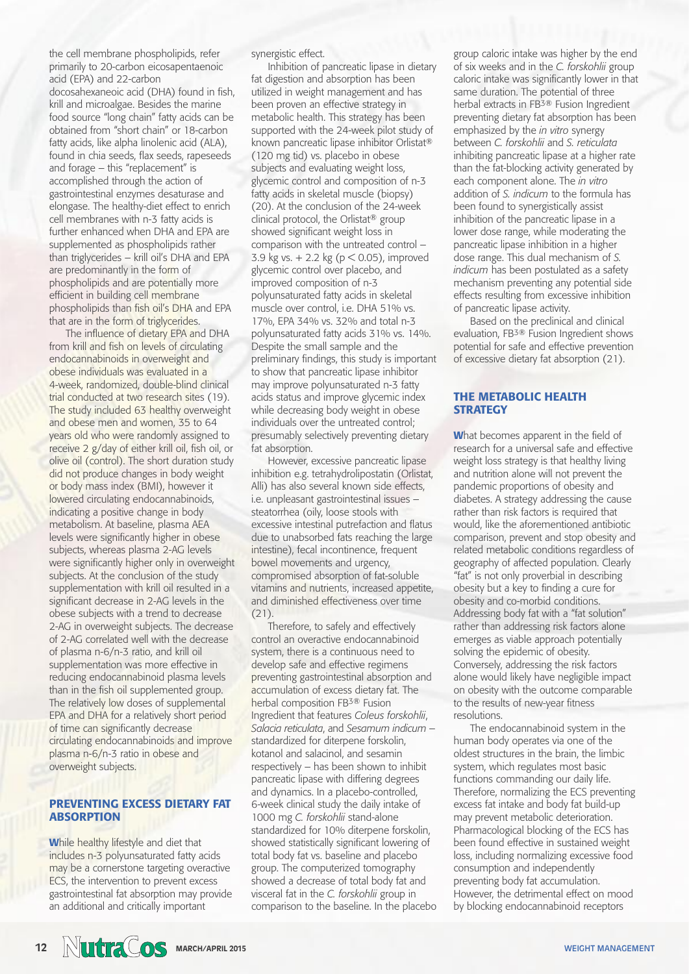the cell membrane phospholipids, refer primarily to 20-carbon eicosapentaenoic acid (EPA) and 22-carbon docosahexaneoic acid (DHA) found in fish, krill and microalgae. Besides the marine food source "long chain" fatty acids can be obtained from "short chain" or 18-carbon fatty acids, like alpha linolenic acid (ALA), found in chia seeds, flax seeds, rapeseeds and forage – this "replacement" is accomplished through the action of gastrointestinal enzymes desaturase and elongase. The healthy-diet effect to enrich cell membranes with n-3 fatty acids is further enhanced when DHA and EPA are supplemented as phospholipids rather than triglycerides – krill oil's DHA and EPA are predominantly in the form of phospholipids and are potentially more efficient in building cell membrane phospholipids than fish oil's DHA and EPA that are in the form of triglycerides.

The influence of dietary EPA and DHA from krill and fish on levels of circulating endocannabinoids in overweight and obese individuals was evaluated in a 4-week, randomized, double-blind clinical trial conducted at two research sites (19). The study included 63 healthy overweight and obese men and women, 35 to 64 years old who were randomly assigned to receive 2 g/day of either krill oil, fish oil, or olive oil (control). The short duration study did not produce changes in body weight or body mass index (BMI), however it lowered circulating endocannabinoids, indicating a positive change in body metabolism. At baseline, plasma AEA levels were significantly higher in obese subjects, whereas plasma 2-AG levels were significantly higher only in overweight subjects. At the conclusion of the study supplementation with krill oil resulted in a significant decrease in 2-AG levels in the obese subjects with a trend to decrease 2-AG in overweight subjects. The decrease of 2-AG correlated well with the decrease of plasma n-6/n-3 ratio, and krill oil supplementation was more effective in reducing endocannabinoid plasma levels than in the fish oil supplemented group. The relatively low doses of supplemental EPA and DHA for a relatively short period of time can significantly decrease circulating endocannabinoids and improve plasma n-6/n-3 ratio in obese and overweight subjects.

#### PREVENTING EXCESS DIETARY FAT **ABSORPTION**

While healthy lifestyle and diet that includes n-3 polyunsaturated fatty acids may be a cornerstone targeting overactive ECS, the intervention to prevent excess gastrointestinal fat absorption may provide an additional and critically important

synergistic effect.

Inhibition of pancreatic lipase in dietary fat digestion and absorption has been utilized in weight management and has been proven an effective strategy in metabolic health. This strategy has been supported with the 24-week pilot study of known pancreatic lipase inhibitor Orlistat® (120 mg tid) vs. placebo in obese subjects and evaluating weight loss, glycemic control and composition of n-3 fatty acids in skeletal muscle (biopsy) (20). At the conclusion of the 24-week clinical protocol, the Orlistat® group showed significant weight loss in comparison with the untreated control – 3.9 kg vs.  $+ 2.2$  kg ( $p < 0.05$ ), improved glycemic control over placebo, and improved composition of n-3 polyunsaturated fatty acids in skeletal muscle over control, i.e. DHA 51% vs. 17%, EPA 34% vs. 32% and total n-3 polyunsaturated fatty acids 31% vs. 14%. Despite the small sample and the preliminary findings, this study is important to show that pancreatic lipase inhibitor may improve polyunsaturated n-3 fatty acids status and improve glycemic index while decreasing body weight in obese individuals over the untreated control; presumably selectively preventing dietary fat absorption.

However, excessive pancreatic lipase inhibition e.g. tetrahydrolipostatin (Orlistat, Alli) has also several known side effects, i.e. unpleasant gastrointestinal issues – steatorrhea (oily, loose stools with excessive intestinal putrefaction and flatus due to unabsorbed fats reaching the large intestine), fecal incontinence, frequent bowel movements and urgency, compromised absorption of fat-soluble vitamins and nutrients, increased appetite, and diminished effectiveness over time (21).

Therefore, to safely and effectively control an overactive endocannabinoid system, there is a continuous need to develop safe and effective regimens preventing gastrointestinal absorption and accumulation of excess dietary fat. The herbal composition FB3® Fusion Ingredient that features *Coleus forskohlii*, *Salacia reticulata*, and *Sesamum indicum* – standardized for diterpene forskolin, kotanol and salacinol, and sesamin respectively – has been shown to inhibit pancreatic lipase with differing degrees and dynamics. In a placebo-controlled, 6-week clinical study the daily intake of 1000 mg *C. forskohlii* stand-alone standardized for 10% diterpene forskolin, showed statistically significant lowering of total body fat vs. baseline and placebo group. The computerized tomography showed a decrease of total body fat and visceral fat in the *C. forskohlii* group in comparison to the baseline. In the placebo group caloric intake was higher by the end of six weeks and in the *C. forskohlii* group caloric intake was significantly lower in that same duration. The potential of three herbal extracts in FB<sup>3®</sup> Fusion Ingredient preventing dietary fat absorption has been emphasized by the *in vitro* synergy between *C. forskohlii* and *S. reticulata* inhibiting pancreatic lipase at a higher rate than the fat-blocking activity generated by each component alone. The *in vitro* addition of *S. indicum* to the formula has been found to synergistically assist inhibition of the pancreatic lipase in a lower dose range, while moderating the pancreatic lipase inhibition in a higher dose range. This dual mechanism of *S. indicum* has been postulated as a safety mechanism preventing any potential side effects resulting from excessive inhibition of pancreatic lipase activity.

Based on the preclinical and clinical evaluation, FB3® Fusion Ingredient shows potential for safe and effective prevention of excessive dietary fat absorption (21).

#### THE METABOLIC HEALTH **STRATEGY**

What becomes apparent in the field of research for a universal safe and effective weight loss strategy is that healthy living and nutrition alone will not prevent the pandemic proportions of obesity and diabetes. A strategy addressing the cause rather than risk factors is required that would, like the aforementioned antibiotic comparison, prevent and stop obesity and related metabolic conditions regardless of geography of affected population. Clearly "fat" is not only proverbial in describing obesity but a key to finding a cure for obesity and co-morbid conditions. Addressing body fat with a "fat solution" rather than addressing risk factors alone emerges as viable approach potentially solving the epidemic of obesity. Conversely, addressing the risk factors alone would likely have negligible impact on obesity with the outcome comparable to the results of new-year fitness resolutions.

The endocannabinoid system in the human body operates via one of the oldest structures in the brain, the limbic system, which regulates most basic functions commanding our daily life. Therefore, normalizing the ECS preventing excess fat intake and body fat build-up may prevent metabolic deterioration. Pharmacological blocking of the ECS has been found effective in sustained weight loss, including normalizing excessive food consumption and independently preventing body fat accumulation. However, the detrimental effect on mood by blocking endocannabinoid receptors